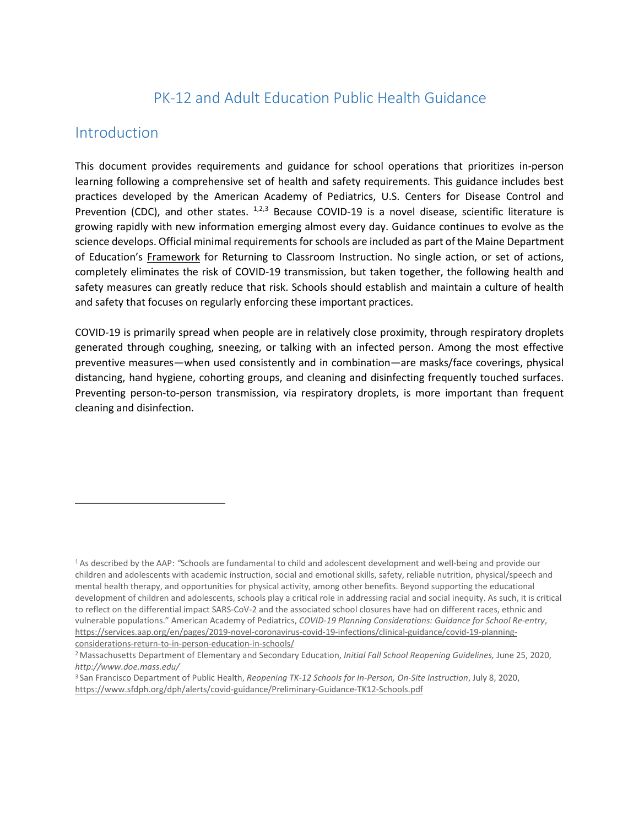# PK-12 and Adult Education Public Health Guidance

#### Introduction

This document provides requirements and guidance for school operations that prioritizes in-person learning following a comprehensive set of health and safety requirements. This guidance includes best practices developed by the American Academy of Pediatrics, U.S. Centers for Disease Control and Prevention (CDC), and other states.  $1,2,3$  $1,2,3$  $1,2,3$  Because COVID-19 is a novel disease, scientific literature is growing rapidly with new information emerging almost every day. Guidance continues to evolve as the science develops. Official minimal requirements for schools are included as part of the Maine Department of Education's [Framework](https://www.maine.gov/doe/framework) for Returning to Classroom Instruction. No single action, or set of actions, completely eliminates the risk of COVID-19 transmission, but taken together, the following health and safety measures can greatly reduce that risk. Schools should establish and maintain a culture of health and safety that focuses on regularly enforcing these important practices.

COVID-19 is primarily spread when people are in relatively close proximity, through respiratory droplets generated through coughing, sneezing, or talking with an infected person. Among the most effective preventive measures—when used consistently and in combination—are masks/face coverings, physical distancing, hand hygiene, cohorting groups, and cleaning and disinfecting frequently touched surfaces. Preventing person-to-person transmission, via respiratory droplets, is more important than frequent cleaning and disinfection.

<span id="page-0-0"></span><sup>1</sup> As described by the AAP: *"*Schools are fundamental to child and adolescent development and well-being and provide our children and adolescents with academic instruction, social and emotional skills, safety, reliable nutrition, physical/speech and mental health therapy, and opportunities for physical activity, among other benefits. Beyond supporting the educational development of children and adolescents, schools play a critical role in addressing racial and social inequity. As such, it is critical to reflect on the differential impact SARS-CoV-2 and the associated school closures have had on different races, ethnic and vulnerable populations." American Academy of Pediatrics, *COVID-19 Planning Considerations: Guidance for School Re-entry*, [https://services.aap.org/en/pages/2019-novel-coronavirus-covid-19-infections/clinical-guidance/covid-19-planning](https://services.aap.org/en/pages/2019-novel-coronavirus-covid-19-infections/clinical-guidance/covid-19-planning-considerations-return-to-in-person-education-in-schools/)[considerations-return-to-in-person-education-in-schools/](https://services.aap.org/en/pages/2019-novel-coronavirus-covid-19-infections/clinical-guidance/covid-19-planning-considerations-return-to-in-person-education-in-schools/)

<span id="page-0-1"></span><sup>2</sup> Massachusetts Department of Elementary and Secondary Education, *Initial Fall School Reopening Guidelines,* June 25, 2020, *<http://www.doe.mass.edu/>*

<span id="page-0-2"></span><sup>3</sup> San Francisco Department of Public Health, *Reopening TK-12 Schools for In-Person, On-Site Instruction*, July 8, 2020, <https://www.sfdph.org/dph/alerts/covid-guidance/Preliminary-Guidance-TK12-Schools.pdf>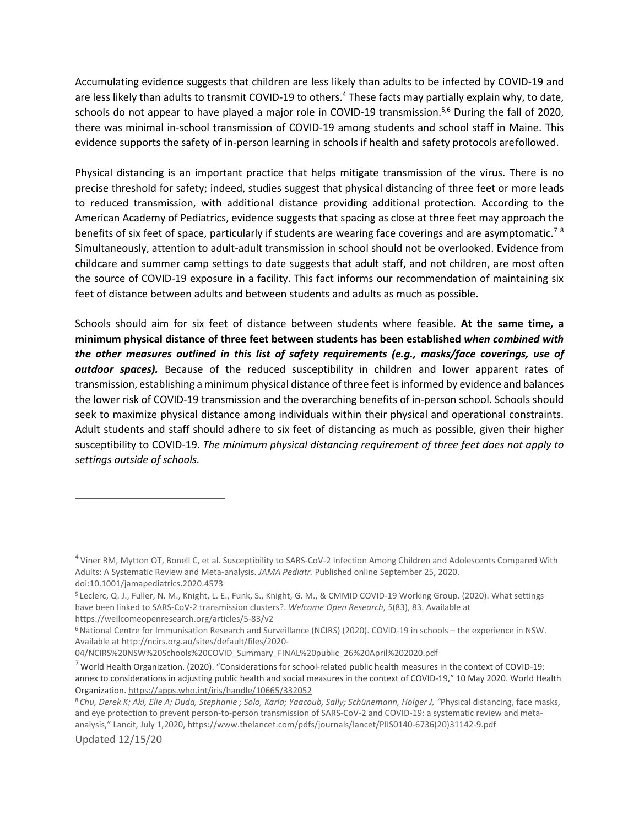Accumulating evidence suggests that children are less likely than adults to be infected by COVID-19 and are less likely than adults to transmit COVID-19 to others.<sup>4</sup> These facts may partially explain why, to date, schools do not appear to have played a major role in COVID-19 transmission.<sup>5,[6](#page-1-2)</sup> During the fall of 2020, there was minimal in-school transmission of COVID-19 among students and school staff in Maine. This evidence supports the safety of in-person learning in schools if health and safety protocols arefollowed.

Physical distancing is an important practice that helps mitigate transmission of the virus. There is no precise threshold for safety; indeed, studies suggest that physical distancing of three feet or more leads to reduced transmission, with additional distance providing additional protection. According to the American Academy of Pediatrics, evidence suggests that spacing as close at three feet may approach the benefits of six feet of space, particularly if students are wearing face coverings and are asymptomatic.<sup>7[8](#page-1-4)</sup> Simultaneously, attention to adult-adult transmission in school should not be overlooked. Evidence from childcare and summer camp settings to date suggests that adult staff, and not children, are most often the source of COVID-19 exposure in a facility. This fact informs our recommendation of maintaining six feet of distance between adults and between students and adults as much as possible.

Schools should aim for six feet of distance between students where feasible. **At the same time, a minimum physical distance of three feet between students has been established** *when combined with the other measures outlined in this list of safety requirements (e.g., masks/face coverings, use of outdoor spaces).* Because of the reduced susceptibility in children and lower apparent rates of transmission, establishing a minimum physical distance of three feet isinformed by evidence and balances the lower risk of COVID-19 transmission and the overarching benefits of in-person school. Schools should seek to maximize physical distance among individuals within their physical and operational constraints. Adult students and staff should adhere to six feet of distancing as much as possible, given their higher susceptibility to COVID-19. *The minimum physical distancing requirement of three feet does not apply to settings outside of schools.*

<span id="page-1-0"></span> $4$  Viner RM, Mytton OT, Bonell C, et al. Susceptibility to SARS-CoV-2 Infection Among Children and Adolescents Compared With Adults: A Systematic Review and Meta-analysis. *JAMA Pediatr.* Published online September 25, 2020. doi:10.1001/jamapediatrics.2020.4573

<span id="page-1-1"></span><sup>5</sup> Leclerc, Q. J., Fuller, N. M., Knight, L. E., Funk, S., Knight, G. M., & CMMID COVID-19 Working Group. (2020). What settings have been linked to SARS-CoV-2 transmission clusters?. *Welcome Open Research*, *5*(83), 83. Available at https://wellcomeopenresearch.org/articles/5-83/v2

<span id="page-1-2"></span><sup>6</sup> National Centre for Immunisation Research and Surveillance (NCIRS) (2020). COVID-19 in schools – the experience in NSW. Available a[t http://ncirs.org.au/sites/default/files/2020-](http://ncirs.org.au/sites/default/files/2020-)

<sup>04/</sup>NCIRS%20NSW%20Schools%20COVID\_Summary\_FINAL%20public\_26%20April%202020.pdf

<span id="page-1-3"></span> $7$  World Health Organization. (2020). "Considerations for school-related public health measures in the context of COVID-19: annex to considerations in adjusting public health and social measures in the context of COVID-19," 10 May 2020. World Health Organization. <https://apps.who.int/iris/handle/10665/332052>

<span id="page-1-4"></span><sup>8</sup>*Chu, Derek K; Akl, Elie A; Duda, Stephanie ; Solo, Karla; Yaacoub, Sally; Schünemann, Holger J, "*Physical distancing, face masks, and eye protection to prevent person-to-person transmission of SARS-CoV-2 and COVID-19: a systematic review and metaanalysis," Lancit, July 1,2020[, https://www.thelancet.com/pdfs/journals/lancet/PIIS0140-6736\(20\)31142-9.pdf](https://www.thelancet.com/pdfs/journals/lancet/PIIS0140-6736(20)31142-9.pdf)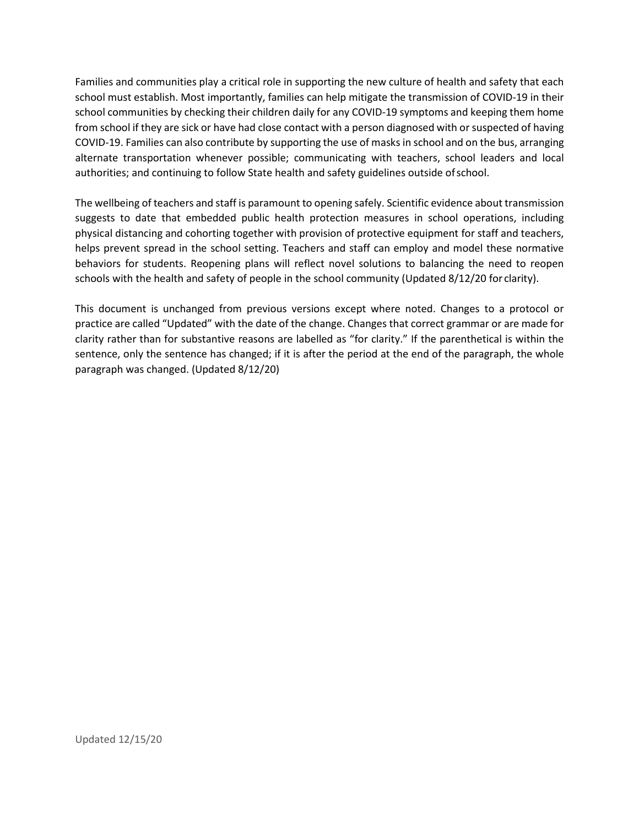Families and communities play a critical role in supporting the new culture of health and safety that each school must establish. Most importantly, families can help mitigate the transmission of COVID-19 in their school communities by checking their children daily for any COVID-19 symptoms and keeping them home from school if they are sick or have had close contact with a person diagnosed with orsuspected of having COVID-19. Families can also contribute by supporting the use of masks in school and on the bus, arranging alternate transportation whenever possible; communicating with teachers, school leaders and local authorities; and continuing to follow State health and safety guidelines outside ofschool.

The wellbeing of teachers and staff is paramount to opening safely. Scientific evidence about transmission suggests to date that embedded public health protection measures in school operations, including physical distancing and cohorting together with provision of protective equipment for staff and teachers, helps prevent spread in the school setting. Teachers and staff can employ and model these normative behaviors for students. Reopening plans will reflect novel solutions to balancing the need to reopen schools with the health and safety of people in the school community (Updated 8/12/20 for clarity).

This document is unchanged from previous versions except where noted. Changes to a protocol or practice are called "Updated" with the date of the change. Changes that correct grammar or are made for clarity rather than for substantive reasons are labelled as "for clarity." If the parenthetical is within the sentence, only the sentence has changed; if it is after the period at the end of the paragraph, the whole paragraph was changed. (Updated 8/12/20)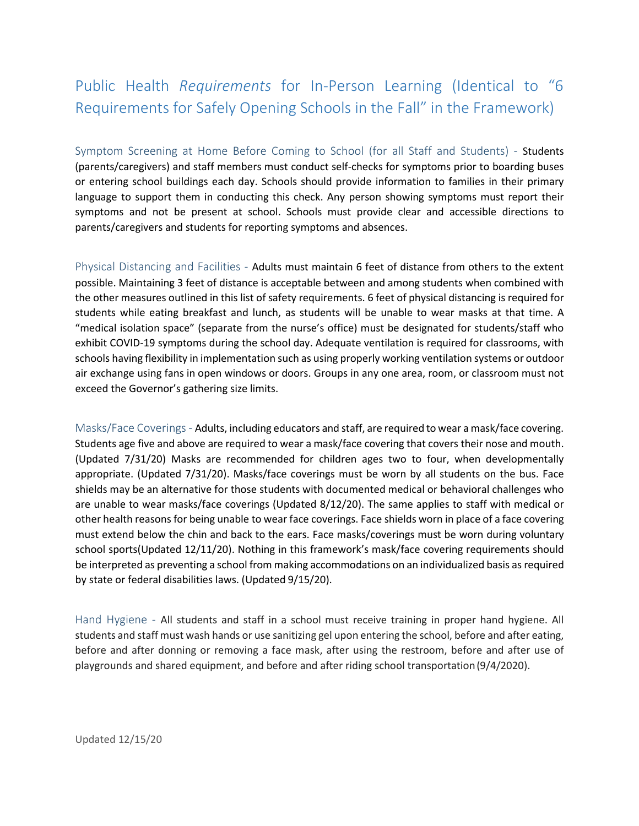# Public Health *Requirements* for In-Person Learning (Identical to "6 Requirements for Safely Opening Schools in the Fall" in the Framework)

Symptom Screening at Home Before Coming to School (for all Staff and Students) - Students (parents/caregivers) and staff members must conduct self-checks for symptoms prior to boarding buses or entering school buildings each day. Schools should provide information to families in their primary language to support them in conducting this check. Any person showing symptoms must report their symptoms and not be present at school. Schools must provide clear and accessible directions to parents/caregivers and students for reporting symptoms and absences.

Physical Distancing and Facilities - Adults must maintain 6 feet of distance from others to the extent possible. Maintaining 3 feet of distance is acceptable between and among students when combined with the other measures outlined in this list of safety requirements. 6 feet of physical distancing is required for students while eating breakfast and lunch, as students will be unable to wear masks at that time. A "medical isolation space" (separate from the nurse's office) must be designated for students/staff who exhibit COVID-19 symptoms during the school day. Adequate ventilation is required for classrooms, with schools having flexibility in implementation such as using properly working ventilation systems or outdoor air exchange using fans in open windows or doors. Groups in any one area, room, or classroom must not exceed the Governor's gathering size limits.

Masks/Face Coverings- Adults, including educators and staff, are required to wear a mask/face covering. Students age five and above are required to wear a mask/face covering that covers their nose and mouth. (Updated 7/31/20) Masks are recommended for children ages two to four, when developmentally appropriate. (Updated 7/31/20). Masks/face coverings must be worn by all students on the bus. Face shields may be an alternative for those students with documented medical or behavioral challenges who are unable to wear masks/face coverings (Updated 8/12/20). The same applies to staff with medical or other health reasons for being unable to wear face coverings. Face shields worn in place of a face covering must extend below the chin and back to the ears. Face masks/coverings must be worn during voluntary school sports(Updated 12/11/20). Nothing in this framework's mask/face covering requirements should be interpreted as preventing a school from making accommodations on an individualized basis as required by state or federal disabilities laws. (Updated 9/15/20).

Hand Hygiene - All students and staff in a school must receive training in proper hand hygiene. All students and staff must wash hands or use sanitizing gel upon entering the school, before and after eating, before and after donning or removing a face mask, after using the restroom, before and after use of playgrounds and shared equipment, and before and after riding school transportation(9/4/2020).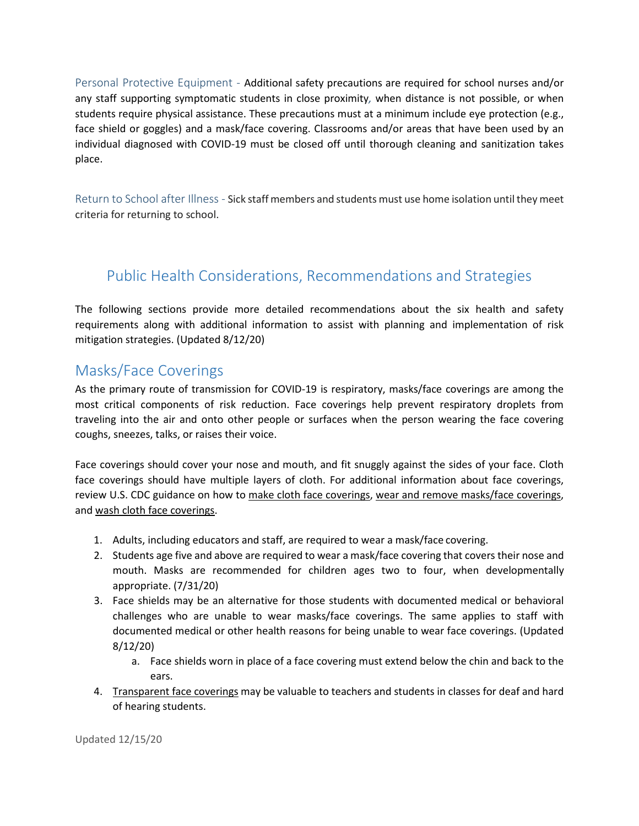Personal Protective Equipment - Additional safety precautions are required for school nurses and/or any staff supporting symptomatic students in close proximity*,* when distance is not possible, or when students require physical assistance. These precautions must at a minimum include eye protection (e.g., face shield or goggles) and a mask/face covering. Classrooms and/or areas that have been used by an individual diagnosed with COVID-19 must be closed off until thorough cleaning and sanitization takes place.

Return to School after Illness - Sick staff members and students must use home isolation until they meet criteria for returning to school.

## Public Health Considerations, Recommendations and Strategies

The following sections provide more detailed recommendations about the six health and safety requirements along with additional information to assist with planning and implementation of risk mitigation strategies. (Updated 8/12/20)

#### Masks/Face Coverings

As the primary route of transmission for COVID-19 is respiratory, masks/face coverings are among the most critical components of risk reduction. Face coverings help prevent respiratory droplets from traveling into the air and onto other people or surfaces when the person wearing the face covering coughs, sneezes, talks, or raises their voice.

Face coverings should cover your nose and mouth, and fit snuggly against the sides of your face. Cloth face coverings should have multiple layers of cloth. For additional information about face coverings, review U.S. CDC guidance on how to [make cloth face coverings,](https://www.cdc.gov/coronavirus/2019-ncov/prevent-getting-sick/how-to-make-cloth-face-covering.html) [wear and remove masks/face coverings,](https://www.cdc.gov/coronavirus/2019-ncov/prevent-getting-sick/how-to-wear-cloth-face-coverings.html) and [wash cloth face coverings.](https://www.cdc.gov/coronavirus/2019-ncov/prevent-getting-sick/how-to-wash-cloth-face-coverings.html)

- 1. Adults, including educators and staff, are required to wear a mask/face covering.
- 2. Students age five and above are required to wear a mask/face covering that covers their nose and mouth. Masks are recommended for children ages two to four, when developmentally appropriate. (7/31/20)
- 3. Face shields may be an alternative for those students with documented medical or behavioral challenges who are unable to wear masks/face coverings. The same applies to staff with documented medical or other health reasons for being unable to wear face coverings. (Updated 8/12/20)
	- a. Face shields worn in place of a face covering must extend below the chin and back to the ears.
- 4. Transparent face coverings may be valuable to teachers and students in classes for deaf and hard of hearing students.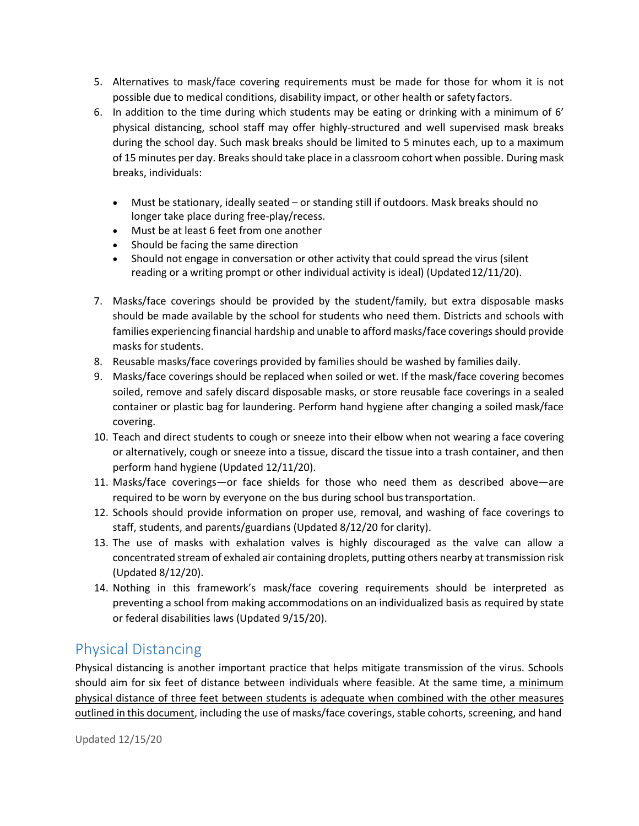- 5. Alternatives to mask/face covering requirements must be made for those for whom it is not possible due to medical conditions, disability impact, or other health or safety factors.
- 6. In addition to the time during which students may be eating or drinking with a minimum of 6' physical distancing, school staff may offer highly-structured and well supervised mask breaks during the school day. Such mask breaks should be limited to 5 minutes each, up to a maximum of 15 minutes per day. Breaks should take place in a classroom cohort when possible. During mask breaks, individuals:
	- Must be stationary, ideally seated or standing still if outdoors. Mask breaks should no longer take place during free-play/recess.
	- Must be at least 6 feet from one another
	- Should be facing the same direction
	- Should not engage in conversation or other activity that could spread the virus (silent reading or a writing prompt or other individual activity is ideal) (Updated 12/11/20).
- 7. Masks/face coverings should be provided by the student/family, but extra disposable masks should be made available by the school for students who need them. Districts and schools with families experiencing financial hardship and unable to afford masks/face coverings should provide masks for students.
- 8. Reusable masks/face coverings provided by families should be washed by families daily.
- 9. Masks/face coverings should be replaced when soiled or wet. If the mask/face covering becomes soiled, remove and safely discard disposable masks, or store reusable face coverings in a sealed container or plastic bag for laundering. Perform hand hygiene after changing a soiled mask/face covering.
- 10. Teach and direct students to cough or sneeze into their elbow when not wearing a face covering or alternatively, cough or sneeze into a tissue, discard the tissue into a trash container, and then perform hand hygiene (Updated 12/11/20).
- 11. Masks/face coverings—or face shields for those who need them as described above—are required to be worn by everyone on the bus during school bustransportation.
- 12. Schools should provide information on proper use, removal, and washing of face coverings to staff, students, and parents/guardians (Updated 8/12/20 for clarity).
- 13. The use of masks with exhalation valves is highly discouraged as the valve can allow a concentrated stream of exhaled air containing droplets, putting others nearby at transmission risk (Updated 8/12/20).
- 14. Nothing in this framework's mask/face covering requirements should be interpreted as preventing a school from making accommodations on an individualized basis as required by state or federal disabilities laws (Updated 9/15/20).

#### Physical Distancing

Physical distancing is another important practice that helps mitigate transmission of the virus. Schools should aim for six feet of distance between individuals where feasible. At the same time, a minimum physical distance of three feet between students is adequate when combined with the other measures outlined in this document, including the use of masks/face coverings, stable cohorts, screening, and hand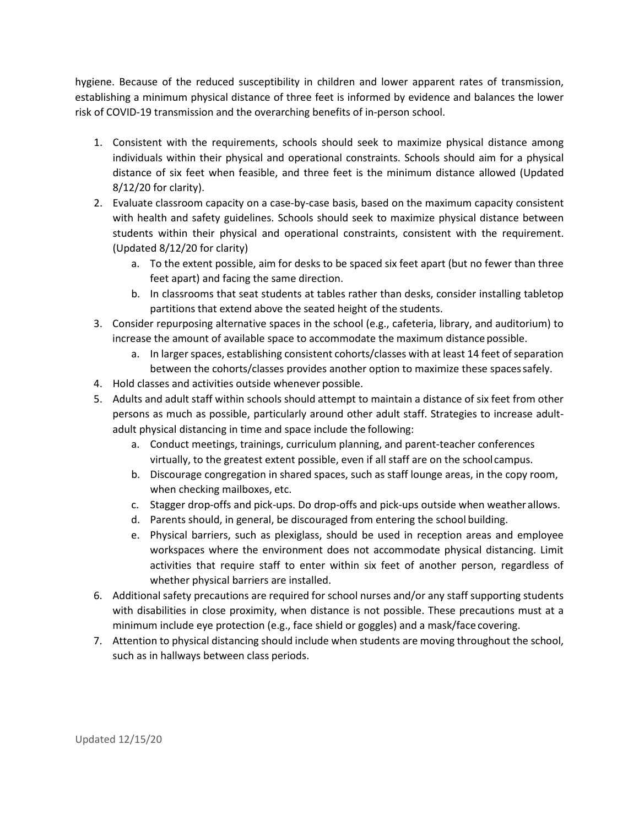hygiene. Because of the reduced susceptibility in children and lower apparent rates of transmission, establishing a minimum physical distance of three feet is informed by evidence and balances the lower risk of COVID-19 transmission and the overarching benefits of in-person school.

- 1. Consistent with the requirements, schools should seek to maximize physical distance among individuals within their physical and operational constraints. Schools should aim for a physical distance of six feet when feasible, and three feet is the minimum distance allowed (Updated 8/12/20 for clarity).
- 2. Evaluate classroom capacity on a case-by-case basis, based on the maximum capacity consistent with health and safety guidelines. Schools should seek to maximize physical distance between students within their physical and operational constraints, consistent with the requirement. (Updated 8/12/20 for clarity)
	- a. To the extent possible, aim for desks to be spaced six feet apart (but no fewer than three feet apart) and facing the same direction.
	- b. In classrooms that seat students at tables rather than desks, consider installing tabletop partitions that extend above the seated height of the students.
- 3. Consider repurposing alternative spaces in the school (e.g., cafeteria, library, and auditorium) to increase the amount of available space to accommodate the maximum distance possible.
	- a. In larger spaces, establishing consistent cohorts/classes with at least 14 feet of separation between the cohorts/classes provides another option to maximize these spacessafely.
- 4. Hold classes and activities outside whenever possible.
- 5. Adults and adult staff within schools should attempt to maintain a distance of six feet from other persons as much as possible, particularly around other adult staff. Strategies to increase adultadult physical distancing in time and space include the following:
	- a. Conduct meetings, trainings, curriculum planning, and parent-teacher conferences virtually, to the greatest extent possible, even if all staff are on the schoolcampus.
	- b. Discourage congregation in shared spaces, such as staff lounge areas, in the copy room, when checking mailboxes, etc.
	- c. Stagger drop-offs and pick-ups. Do drop-offs and pick-ups outside when weather allows.
	- d. Parents should, in general, be discouraged from entering the school building.
	- e. Physical barriers, such as plexiglass, should be used in reception areas and employee workspaces where the environment does not accommodate physical distancing. Limit activities that require staff to enter within six feet of another person, regardless of whether physical barriers are installed.
- 6. Additional safety precautions are required for school nurses and/or any staff supporting students with disabilities in close proximity, when distance is not possible. These precautions must at a minimum include eye protection (e.g., face shield or goggles) and a mask/face covering.
- 7. Attention to physical distancing should include when students are moving throughout the school, such as in hallways between class periods.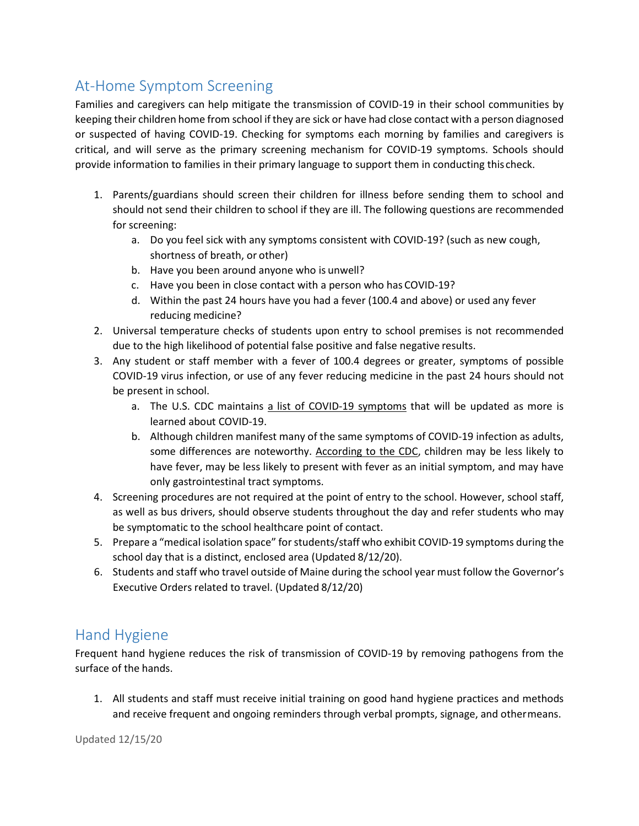# At-Home Symptom Screening

Families and caregivers can help mitigate the transmission of COVID-19 in their school communities by keeping their children home from school if they are sick or have had close contact with a person diagnosed or suspected of having COVID-19. Checking for symptoms each morning by families and caregivers is critical, and will serve as the primary screening mechanism for COVID-19 symptoms. Schools should provide information to families in their primary language to support them in conducting this check.

- 1. Parents/guardians should screen their children for illness before sending them to school and should not send their children to school if they are ill. The following questions are recommended for screening:
	- a. Do you feel sick with any symptoms consistent with COVID-19? (such as new cough, shortness of breath, or other)
	- b. Have you been around anyone who is unwell?
	- c. Have you been in close contact with a person who has COVID-19?
	- d. Within the past 24 hours have you had a fever (100.4 and above) or used any fever reducing medicine?
- 2. Universal temperature checks of students upon entry to school premises is not recommended due to the high likelihood of potential false positive and false negative results.
- 3. Any student or staff member with a fever of 100.4 degrees or greater, symptoms of possible COVID-19 virus infection, or use of any fever reducing medicine in the past 24 hours should not be present in school.
	- a. The U.S. CDC maintains [a list of COVID-19 symptoms](https://www.cdc.gov/coronavirus/2019-ncov/symptoms-testing/symptoms.html) that will be updated as more is learned about COVID-19.
	- b. Although children manifest many of the same symptoms of COVID-19 infection as adults, some differences are noteworthy. [According to the CDC, c](https://www.cdc.gov/coronavirus/2019-ncov/hcp/pediatric-hcp.html)hildren may be less likely to have fever, may be less likely to present with fever as an initial symptom, and may have only gastrointestinal tract symptoms.
- 4. Screening procedures are not required at the point of entry to the school. However, school staff, as well as bus drivers, should observe students throughout the day and refer students who may be symptomatic to the school healthcare point of contact.
- 5. Prepare a "medical isolation space" for students/staff who exhibit COVID-19 symptoms during the school day that is a distinct, enclosed area (Updated 8/12/20).
- 6. Students and staff who travel outside of Maine during the school year must follow the Governor's Executive Orders related to travel. (Updated 8/12/20)

## Hand Hygiene

Frequent hand hygiene reduces the risk of transmission of COVID-19 by removing pathogens from the surface of the hands.

1. All students and staff must receive initial training on good hand hygiene practices and methods and receive frequent and ongoing reminders through verbal prompts, signage, and othermeans.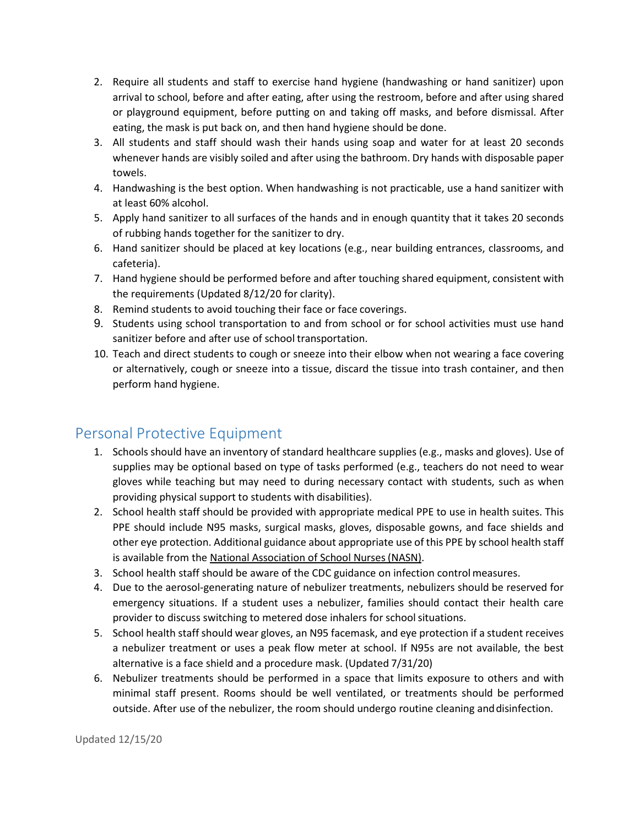- 2. Require all students and staff to exercise hand hygiene (handwashing or hand sanitizer) upon arrival to school, before and after eating, after using the restroom, before and after using shared or playground equipment, before putting on and taking off masks, and before dismissal. After eating, the mask is put back on, and then hand hygiene should be done.
- 3. All students and staff should wash their hands using soap and water for at least 20 seconds whenever hands are visibly soiled and after using the bathroom. Dry hands with disposable paper towels.
- 4. Handwashing is the best option. When handwashing is not practicable, use a hand sanitizer with at least 60% alcohol.
- 5. Apply hand sanitizer to all surfaces of the hands and in enough quantity that it takes 20 seconds of rubbing hands together for the sanitizer to dry.
- 6. Hand sanitizer should be placed at key locations (e.g., near building entrances, classrooms, and cafeteria).
- 7. Hand hygiene should be performed before and after touching shared equipment, consistent with the requirements (Updated 8/12/20 for clarity).
- 8. Remind students to avoid touching their face or face coverings.
- 9. Students using school transportation to and from school or for school activities must use hand sanitizer before and after use of school transportation.
- 10. Teach and direct students to cough or sneeze into their elbow when not wearing a face covering or alternatively, cough or sneeze into a tissue, discard the tissue into trash container, and then perform hand hygiene.

## Personal Protective Equipment

- 1. Schools should have an inventory of standard healthcare supplies (e.g., masks and gloves). Use of supplies may be optional based on type of tasks performed (e.g., teachers do not need to wear gloves while teaching but may need to during necessary contact with students, such as when providing physical support to students with disabilities).
- 2. School health staff should be provided with appropriate medical PPE to use in health suites. This PPE should include N95 masks, surgical masks, gloves, disposable gowns, and face shields and other eye protection. Additional guidance about appropriate use of this PPE by school health staff is available from the [National Association of School Nurses\(NASN\).](https://higherlogicdownload.s3.amazonaws.com/NASN/3870c72d-fff9-4ed7-833f-215de278d256/UploadedImages/PDFs/Guidance-for-Healthcare-Personnel-on-PPE-Use-in-Schools.pdf)
- 3. School health staff should be aware of the CDC guidance on infection controlmeasures.
- 4. Due to the aerosol-generating nature of nebulizer treatments, nebulizers should be reserved for emergency situations. If a student uses a nebulizer, families should contact their health care provider to discuss switching to metered dose inhalers for school situations.
- 5. School health staff should wear gloves, an N95 facemask, and eye protection if a student receives a nebulizer treatment or uses a peak flow meter at school. If N95s are not available, the best alternative is a face shield and a procedure mask. (Updated 7/31/20)
- 6. Nebulizer treatments should be performed in a space that limits exposure to others and with minimal staff present. Rooms should be well ventilated, or treatments should be performed outside. After use of the nebulizer, the room should undergo routine cleaning anddisinfection.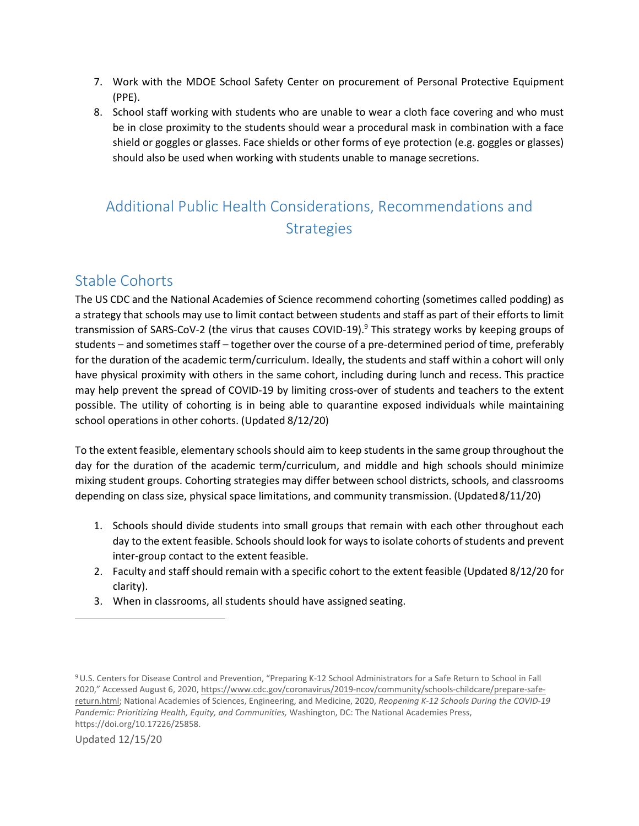- 7. Work with the MDOE School Safety Center on procurement of Personal Protective Equipment (PPE).
- 8. School staff working with students who are unable to wear a cloth face covering and who must be in close proximity to the students should wear a procedural mask in combination with a face shield or goggles or glasses. Face shields or other forms of eye protection (e.g. goggles or glasses) should also be used when working with students unable to manage secretions.

# Additional Public Health Considerations, Recommendations and **Strategies**

# Stable Cohorts

The US CDC and the National Academies of Science recommend cohorting (sometimes called podding) as a strategy that schools may use to limit contact between students and staff as part of their efforts to limit transmission of SARS-CoV-2 (the virus that causes COVID-19).<sup>9</sup> This strategy works by keeping groups of students – and sometimes staff – together over the course of a pre-determined period of time, preferably for the duration of the academic term/curriculum. Ideally, the students and staff within a cohort will only have physical proximity with others in the same cohort, including during lunch and recess. This practice may help prevent the spread of COVID-19 by limiting cross-over of students and teachers to the extent possible. The utility of cohorting is in being able to quarantine exposed individuals while maintaining school operations in other cohorts. (Updated 8/12/20)

To the extent feasible, elementary schools should aim to keep students in the same group throughout the day for the duration of the academic term/curriculum, and middle and high schools should minimize mixing student groups. Cohorting strategies may differ between school districts, schools, and classrooms depending on class size, physical space limitations, and community transmission. (Updated8/11/20)

- 1. Schools should divide students into small groups that remain with each other throughout each day to the extent feasible. Schools should look for ways to isolate cohorts of students and prevent inter-group contact to the extent feasible.
- 2. Faculty and staff should remain with a specific cohort to the extent feasible (Updated 8/12/20 for clarity).
- 3. When in classrooms, all students should have assigned seating.

<span id="page-9-0"></span><sup>9</sup> U.S. Centers for Disease Control and Prevention, "Preparing K-12 School Administrators for a Safe Return to School in Fall 2020," Accessed August 6, 2020[, https://www.cdc.gov/coronavirus/2019-ncov/community/schools-childcare/prepare-safe](https://www.cdc.gov/coronavirus/2019-ncov/community/schools-childcare/prepare-safe-return.html)[return.html; N](https://www.cdc.gov/coronavirus/2019-ncov/community/schools-childcare/prepare-safe-return.html)ational Academies of Sciences, Engineering, and Medicine, 2020, *Reopening K-12 Schools During the COVID-19 Pandemic: Prioritizing Health, Equity, and Communities,* Washington, DC: The National Academies Press, https://doi.org/10.17226/25858.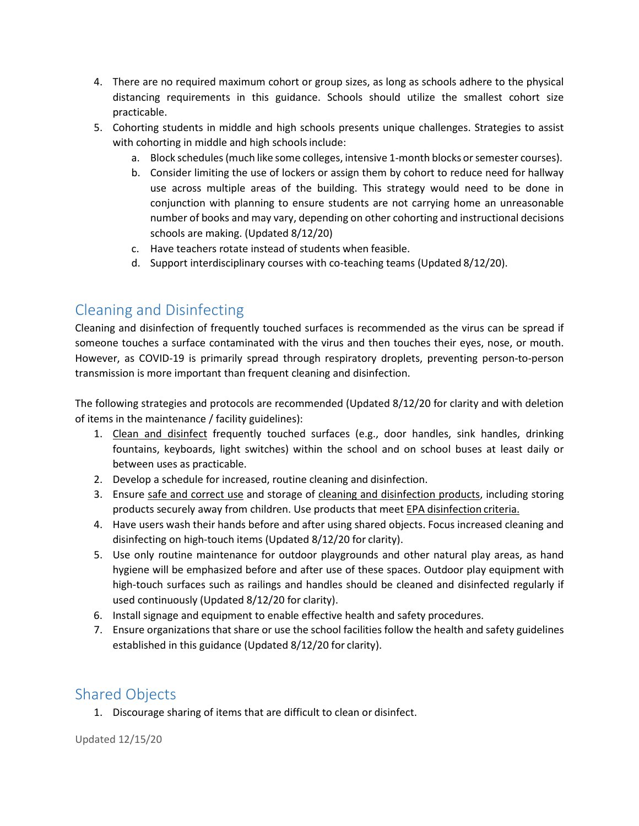- 4. There are no required maximum cohort or group sizes, as long as schools adhere to the physical distancing requirements in this guidance. Schools should utilize the smallest cohort size practicable.
- 5. Cohorting students in middle and high schools presents unique challenges. Strategies to assist with cohorting in middle and high schools include:
	- a. Block schedules (much like some colleges, intensive 1-month blocks or semester courses).
	- b. Consider limiting the use of lockers or assign them by cohort to reduce need for hallway use across multiple areas of the building. This strategy would need to be done in conjunction with planning to ensure students are not carrying home an unreasonable number of books and may vary, depending on other cohorting and instructional decisions schools are making. (Updated 8/12/20)
	- c. Have teachers rotate instead of students when feasible.
	- d. Support interdisciplinary courses with co-teaching teams (Updated 8/12/20).

#### Cleaning and Disinfecting

Cleaning and disinfection of frequently touched surfaces is recommended as the virus can be spread if someone touches a surface contaminated with the virus and then touches their eyes, nose, or mouth. However, as COVID-19 is primarily spread through respiratory droplets, preventing person-to-person transmission is more important than frequent cleaning and disinfection.

The following strategies and protocols are recommended (Updated 8/12/20 for clarity and with deletion of items in the maintenance / facility guidelines):

- 1. [Clean and disinfect](https://www.cdc.gov/coronavirus/2019-ncov/community/clean-disinfect/index.html) frequently touched surfaces (e.g., door handles, sink handles, drinking fountains, keyboards, light switches) within the school and on school buses at least daily or between uses as practicable.
- 2. Develop a schedule for increased, routine cleaning and disinfection.
- 3. Ensure [safe and correct use](https://www.cdc.gov/coronavirus/2019-ncov/community/disinfecting-building-facility.html) and storage of [cleaning and disinfection products, i](https://www.epa.gov/pesticide-registration/list-n-disinfectants-use-against-sars-cov-2)ncluding storing products securely away from children. Use products that meet [EPA disinfection](https://www.epa.gov/pesticide-registration/list-n-disinfectants-use-against-sars-cov-2) criteria.
- 4. Have users wash their hands before and after using shared objects. Focus increased cleaning and disinfecting on high-touch items (Updated 8/12/20 for clarity).
- 5. Use only routine maintenance for outdoor playgrounds and other natural play areas, as hand hygiene will be emphasized before and after use of these spaces. Outdoor play equipment with high-touch surfaces such as railings and handles should be cleaned and disinfected regularly if used continuously (Updated 8/12/20 for clarity).
- 6. Install signage and equipment to enable effective health and safety procedures.
- 7. Ensure organizations that share or use the school facilities follow the health and safety guidelines established in this guidance (Updated 8/12/20 for clarity).

# Shared Objects

1. Discourage sharing of items that are difficult to clean or disinfect.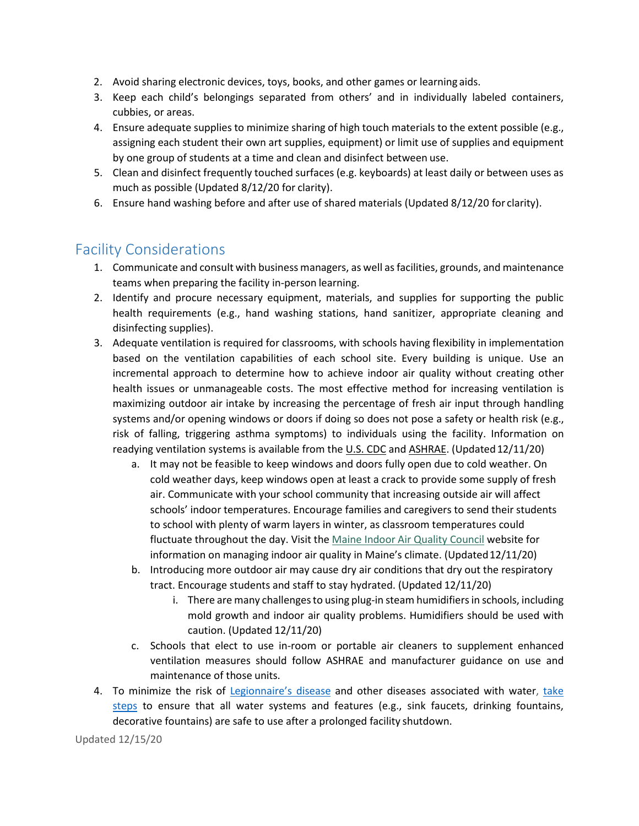- 2. Avoid sharing electronic devices, toys, books, and other games or learning aids.
- 3. Keep each child's belongings separated from others' and in individually labeled containers, cubbies, or areas.
- 4. Ensure adequate supplies to minimize sharing of high touch materials to the extent possible (e.g., assigning each student their own art supplies, equipment) or limit use of supplies and equipment by one group of students at a time and clean and disinfect between use.
- 5. Clean and disinfect frequently touched surfaces (e.g. keyboards) at least daily or between uses as much as possible (Updated 8/12/20 for clarity).
- 6. Ensure hand washing before and after use of shared materials (Updated 8/12/20 for clarity).

## Facility Considerations

- 1. Communicate and consult with business managers, as well asfacilities, grounds, and maintenance teams when preparing the facility in-person learning.
- 2. Identify and procure necessary equipment, materials, and supplies for supporting the public health requirements (e.g., hand washing stations, hand sanitizer, appropriate cleaning and disinfecting supplies).
- 3. Adequate ventilation is required for classrooms, with schools having flexibility in implementation based on the ventilation capabilities of each school site. Every building is unique. Use an incremental approach to determine how to achieve indoor air quality without creating other health issues or unmanageable costs. The most effective method for increasing ventilation is maximizing outdoor air intake by increasing the percentage of fresh air input through handling systems and/or opening windows or doors if doing so does not pose a safety or health risk (e.g., risk of falling, triggering asthma symptoms) to individuals using the facility. Information on readying ventilation systems is available from the [U.S. CDC](https://www.cdc.gov/coronavirus/2019-ncov/community/ventilation.html) and [ASHRAE. \(](https://www.ashrae.org/technical-resources/resources)Updated12/11/20)
	- a. It may not be feasible to keep windows and doors fully open due to cold weather. On cold weather days, keep windows open at least a crack to provide some supply of fresh air. Communicate with your school community that increasing outside air will affect schools' indoor temperatures. Encourage families and caregivers to send their students to school with plenty of warm layers in winter, as classroom temperatures could fluctuate throughout the day. Visit the [Maine Indoor Air Quality Council](https://maineindoorair.org/) website for information on managing indoor air quality in Maine's climate. (Updated 12/11/20)
	- b. Introducing more outdoor air may cause dry air conditions that dry out the respiratory tract. Encourage students and staff to stay hydrated. (Updated 12/11/20)
		- i. There are many challengesto using plug-in steam humidifiersin schools, including mold growth and indoor air quality problems. Humidifiers should be used with caution. (Updated 12/11/20)
	- c. Schools that elect to use in-room or portable air cleaners to supplement enhanced ventilation measures should follow ASHRAE and manufacturer guidance on use and maintenance of those units.
- 4. To minimize the risk of [Legionnaire's disease](https://www.cdc.gov/legionella/about/index.html) and other diseases associated with water, [take](https://www.cdc.gov/coronavirus/2019-ncov/php/building-water-system.html) [steps](https://www.cdc.gov/coronavirus/2019-ncov/php/building-water-system.html) to ensure that all water systems and features (e.g., sink faucets, drinking fountains, decorative fountains) are safe to use after a prolonged facility shutdown.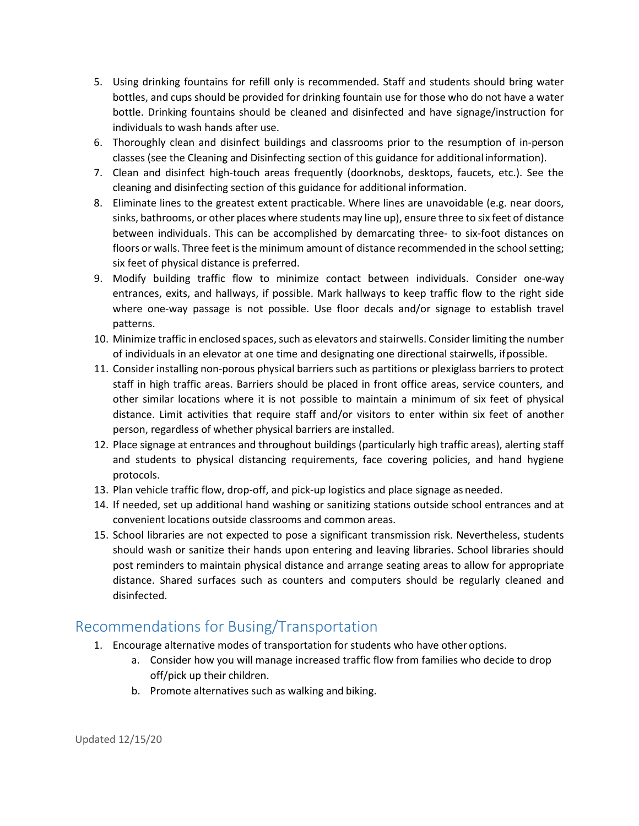- 5. Using drinking fountains for refill only is recommended. Staff and students should bring water bottles, and cups should be provided for drinking fountain use for those who do not have a water bottle. Drinking fountains should be cleaned and disinfected and have signage/instruction for individuals to wash hands after use.
- 6. Thoroughly clean and disinfect buildings and classrooms prior to the resumption of in-person classes (see the Cleaning and Disinfecting section of this guidance for additional information).
- 7. Clean and disinfect high-touch areas frequently (doorknobs, desktops, faucets, etc.). See the cleaning and disinfecting section of this guidance for additional information.
- 8. Eliminate lines to the greatest extent practicable. Where lines are unavoidable (e.g. near doors, sinks, bathrooms, or other places where students may line up), ensure three to six feet of distance between individuals. This can be accomplished by demarcating three- to six-foot distances on floors or walls. Three feet is the minimum amount of distance recommended in the school setting; six feet of physical distance is preferred.
- 9. Modify building traffic flow to minimize contact between individuals. Consider one-way entrances, exits, and hallways, if possible. Mark hallways to keep traffic flow to the right side where one-way passage is not possible. Use floor decals and/or signage to establish travel patterns.
- 10. Minimize traffic in enclosed spaces, such as elevators and stairwells. Consider limiting the number of individuals in an elevator at one time and designating one directional stairwells, ifpossible.
- 11. Consider installing non-porous physical barriers such as partitions or plexiglass barriers to protect staff in high traffic areas. Barriers should be placed in front office areas, service counters, and other similar locations where it is not possible to maintain a minimum of six feet of physical distance. Limit activities that require staff and/or visitors to enter within six feet of another person, regardless of whether physical barriers are installed.
- 12. Place signage at entrances and throughout buildings (particularly high traffic areas), alerting staff and students to physical distancing requirements, face covering policies, and hand hygiene protocols.
- 13. Plan vehicle traffic flow, drop-off, and pick-up logistics and place signage as needed.
- 14. If needed, set up additional hand washing or sanitizing stations outside school entrances and at convenient locations outside classrooms and common areas.
- 15. School libraries are not expected to pose a significant transmission risk. Nevertheless, students should wash or sanitize their hands upon entering and leaving libraries. School libraries should post reminders to maintain physical distance and arrange seating areas to allow for appropriate distance. Shared surfaces such as counters and computers should be regularly cleaned and disinfected.

## Recommendations for Busing/Transportation

- 1. Encourage alternative modes of transportation for students who have other options.
	- a. Consider how you will manage increased traffic flow from families who decide to drop off/pick up their children.
	- b. Promote alternatives such as walking and biking.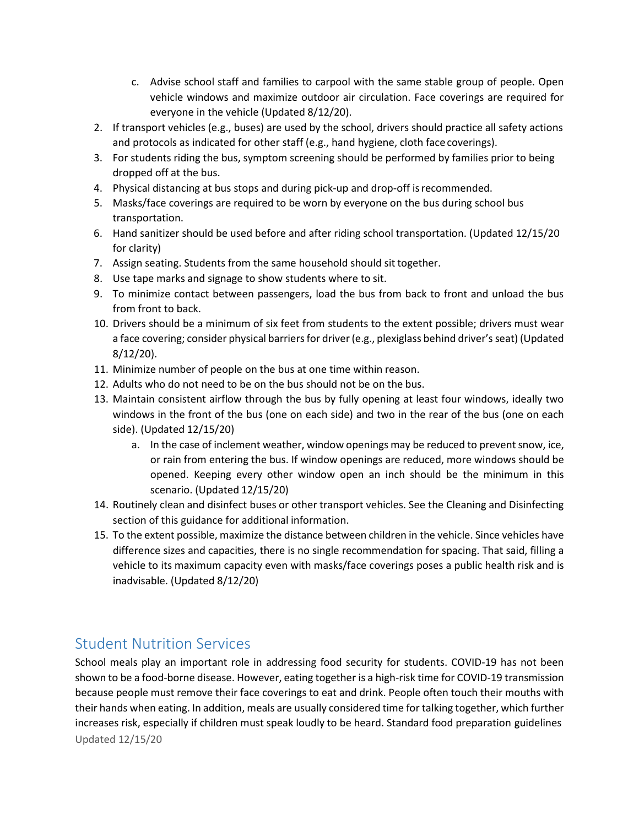- c. Advise school staff and families to carpool with the same stable group of people. Open vehicle windows and maximize outdoor air circulation. Face coverings are required for everyone in the vehicle (Updated 8/12/20).
- 2. If transport vehicles (e.g., buses) are used by the school, drivers should practice all safety actions and protocols as indicated for other staff (e.g., hand hygiene, cloth face coverings).
- 3. For students riding the bus, symptom screening should be performed by families prior to being dropped off at the bus.
- 4. Physical distancing at bus stops and during pick-up and drop-off isrecommended.
- 5. Masks/face coverings are required to be worn by everyone on the bus during school bus transportation.
- 6. Hand sanitizer should be used before and after riding school transportation. (Updated 12/15/20 for clarity)
- 7. Assign seating. Students from the same household should sit together.
- 8. Use tape marks and signage to show students where to sit.
- 9. To minimize contact between passengers, load the bus from back to front and unload the bus from front to back.
- 10. Drivers should be a minimum of six feet from students to the extent possible; drivers must wear a face covering; consider physical barriers for driver (e.g., plexiglass behind driver's seat) (Updated 8/12/20).
- 11. Minimize number of people on the bus at one time within reason.
- 12. Adults who do not need to be on the bus should not be on the bus.
- 13. Maintain consistent airflow through the bus by fully opening at least four windows, ideally two windows in the front of the bus (one on each side) and two in the rear of the bus (one on each side). (Updated 12/15/20)
	- a. In the case of inclement weather, window openings may be reduced to prevent snow, ice, or rain from entering the bus. If window openings are reduced, more windows should be opened. Keeping every other window open an inch should be the minimum in this scenario. (Updated 12/15/20)
- 14. Routinely clean and disinfect buses or other transport vehicles. See the Cleaning and Disinfecting section of this guidance for additional information.
- 15. To the extent possible, maximize the distance between children in the vehicle. Since vehicles have difference sizes and capacities, there is no single recommendation for spacing. That said, filling a vehicle to its maximum capacity even with masks/face coverings poses a public health risk and is inadvisable. (Updated 8/12/20)

## Student Nutrition Services

Updated 12/15/20 School meals play an important role in addressing food security for students. COVID-19 has not been shown to be a food-borne disease. However, eating together is a high-risk time for COVID-19 transmission because people must remove their face coverings to eat and drink. People often touch their mouths with their hands when eating. In addition, meals are usually considered time for talking together, which further increases risk, especially if children must speak loudly to be heard. Standard food preparation guidelines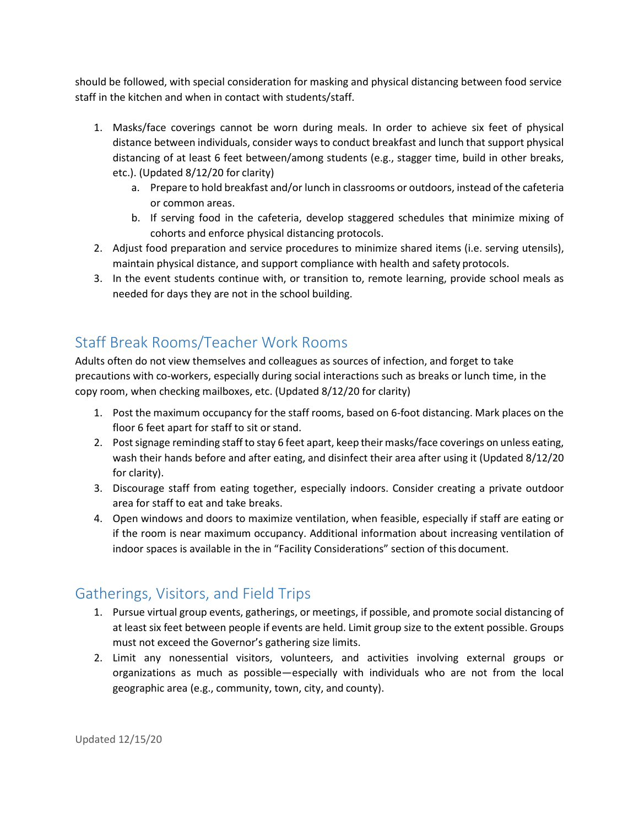should be followed, with special consideration for masking and physical distancing between food service staff in the kitchen and when in contact with students/staff.

- 1. Masks/face coverings cannot be worn during meals. In order to achieve six feet of physical distance between individuals, consider ways to conduct breakfast and lunch that support physical distancing of at least 6 feet between/among students (e.g., stagger time, build in other breaks, etc.). (Updated 8/12/20 for clarity)
	- a. Prepare to hold breakfast and/or lunch in classrooms or outdoors, instead of the cafeteria or common areas.
	- b. If serving food in the cafeteria, develop staggered schedules that minimize mixing of cohorts and enforce physical distancing protocols.
- 2. Adjust food preparation and service procedures to minimize shared items (i.e. serving utensils), maintain physical distance, and support compliance with health and safety protocols.
- 3. In the event students continue with, or transition to, remote learning, provide school meals as needed for days they are not in the school building.

## Staff Break Rooms/Teacher Work Rooms

Adults often do not view themselves and colleagues as sources of infection, and forget to take precautions with co-workers, especially during social interactions such as breaks or lunch time, in the copy room, when checking mailboxes, etc. (Updated 8/12/20 for clarity)

- 1. Post the maximum occupancy for the staff rooms, based on 6-foot distancing. Mark places on the floor 6 feet apart for staff to sit or stand.
- 2. Postsignage reminding staff to stay 6 feet apart, keep their masks/face coverings on unless eating, wash their hands before and after eating, and disinfect their area after using it (Updated 8/12/20 for clarity).
- 3. Discourage staff from eating together, especially indoors. Consider creating a private outdoor area for staff to eat and take breaks.
- 4. Open windows and doors to maximize ventilation, when feasible, especially if staff are eating or if the room is near maximum occupancy. Additional information about increasing ventilation of indoor spaces is available in the in "Facility Considerations" section of this document.

## Gatherings, Visitors, and Field Trips

- 1. Pursue virtual group events, gatherings, or meetings, if possible, and promote social distancing of at least six feet between people if events are held. Limit group size to the extent possible. Groups must not exceed the Governor's gathering size limits.
- 2. Limit any nonessential visitors, volunteers, and activities involving external groups or organizations as much as possible—especially with individuals who are not from the local geographic area (e.g., community, town, city, and county).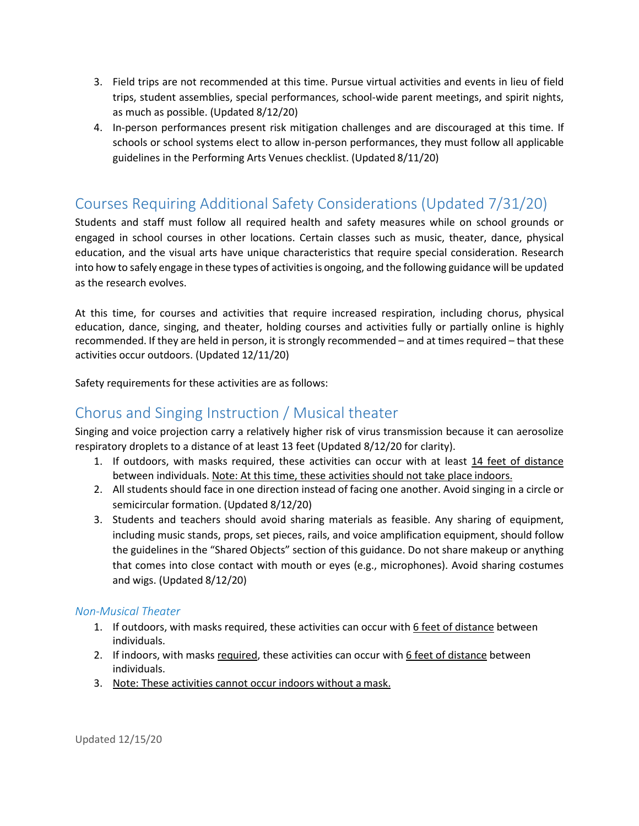- 3. Field trips are not recommended at this time. Pursue virtual activities and events in lieu of field trips, student assemblies, special performances, school-wide parent meetings, and spirit nights, as much as possible. (Updated 8/12/20)
- 4. In-person performances present risk mitigation challenges and are discouraged at this time. If schools or school systems elect to allow in-person performances, they must follow all applicable guidelines in the Performing Arts Venues checklist. (Updated 8/11/20)

## Courses Requiring Additional Safety Considerations (Updated 7/31/20)

Students and staff must follow all required health and safety measures while on school grounds or engaged in school courses in other locations. Certain classes such as music, theater, dance, physical education, and the visual arts have unique characteristics that require special consideration. Research into how to safely engage in these types of activities is ongoing, and the following guidance will be updated as the research evolves.

At this time, for courses and activities that require increased respiration, including chorus, physical education, dance, singing, and theater, holding courses and activities fully or partially online is highly recommended. If they are held in person, it is strongly recommended – and at times required – that these activities occur outdoors. (Updated 12/11/20)

Safety requirements for these activities are as follows:

#### Chorus and Singing Instruction / Musical theater

Singing and voice projection carry a relatively higher risk of virus transmission because it can aerosolize respiratory droplets to a distance of at least 13 feet (Updated 8/12/20 for clarity).

- 1. If outdoors, with masks required, these activities can occur with at least 14 feet of distance between individuals. Note: At this time, these activities should not take place indoors.
- 2. All students should face in one direction instead of facing one another. Avoid singing in a circle or semicircular formation. (Updated 8/12/20)
- 3. Students and teachers should avoid sharing materials as feasible. Any sharing of equipment, including music stands, props, set pieces, rails, and voice amplification equipment, should follow the guidelines in the "Shared Objects" section of this guidance. Do not share makeup or anything that comes into close contact with mouth or eyes (e.g., microphones). Avoid sharing costumes and wigs. (Updated 8/12/20)

#### *Non-Musical Theater*

- 1. If outdoors, with masks required, these activities can occur with 6 feet of distance between individuals.
- 2. If indoors, with masks required, these activities can occur with 6 feet of distance between individuals.
- 3. Note: These activities cannot occur indoors without a mask.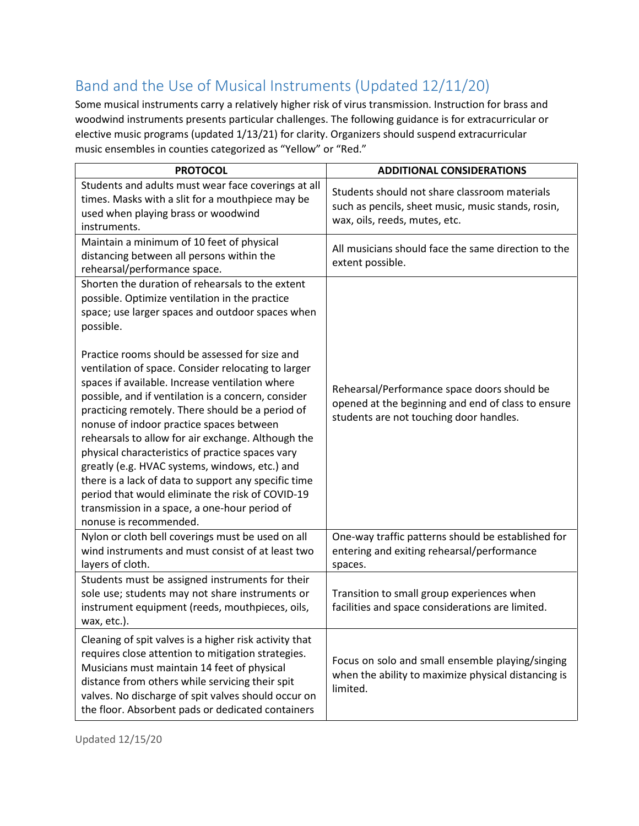# Band and the Use of Musical Instruments (Updated 12/11/20)

Some musical instruments carry a relatively higher risk of virus transmission. Instruction for brass and woodwind instruments presents particular challenges. The following guidance is for extracurricular or elective music programs (updated 1/13/21) for clarity. Organizers should suspend extracurricular music ensembles in counties categorized as "Yellow" or "Red."

| <b>PROTOCOL</b>                                                                                                                                                                                                                                                                                                                                                                                                                                                                                                                                                                                                                                                    | <b>ADDITIONAL CONSIDERATIONS</b>                                                                                                             |
|--------------------------------------------------------------------------------------------------------------------------------------------------------------------------------------------------------------------------------------------------------------------------------------------------------------------------------------------------------------------------------------------------------------------------------------------------------------------------------------------------------------------------------------------------------------------------------------------------------------------------------------------------------------------|----------------------------------------------------------------------------------------------------------------------------------------------|
| Students and adults must wear face coverings at all<br>times. Masks with a slit for a mouthpiece may be<br>used when playing brass or woodwind<br>instruments.                                                                                                                                                                                                                                                                                                                                                                                                                                                                                                     | Students should not share classroom materials<br>such as pencils, sheet music, music stands, rosin,<br>wax, oils, reeds, mutes, etc.         |
| Maintain a minimum of 10 feet of physical<br>distancing between all persons within the<br>rehearsal/performance space.                                                                                                                                                                                                                                                                                                                                                                                                                                                                                                                                             | All musicians should face the same direction to the<br>extent possible.                                                                      |
| Shorten the duration of rehearsals to the extent<br>possible. Optimize ventilation in the practice<br>space; use larger spaces and outdoor spaces when<br>possible.                                                                                                                                                                                                                                                                                                                                                                                                                                                                                                |                                                                                                                                              |
| Practice rooms should be assessed for size and<br>ventilation of space. Consider relocating to larger<br>spaces if available. Increase ventilation where<br>possible, and if ventilation is a concern, consider<br>practicing remotely. There should be a period of<br>nonuse of indoor practice spaces between<br>rehearsals to allow for air exchange. Although the<br>physical characteristics of practice spaces vary<br>greatly (e.g. HVAC systems, windows, etc.) and<br>there is a lack of data to support any specific time<br>period that would eliminate the risk of COVID-19<br>transmission in a space, a one-hour period of<br>nonuse is recommended. | Rehearsal/Performance space doors should be<br>opened at the beginning and end of class to ensure<br>students are not touching door handles. |
| Nylon or cloth bell coverings must be used on all<br>wind instruments and must consist of at least two<br>layers of cloth.                                                                                                                                                                                                                                                                                                                                                                                                                                                                                                                                         | One-way traffic patterns should be established for<br>entering and exiting rehearsal/performance<br>spaces.                                  |
| Students must be assigned instruments for their<br>sole use; students may not share instruments or<br>instrument equipment (reeds, mouthpieces, oils,<br>wax, etc.).                                                                                                                                                                                                                                                                                                                                                                                                                                                                                               | Transition to small group experiences when<br>facilities and space considerations are limited.                                               |
| Cleaning of spit valves is a higher risk activity that<br>requires close attention to mitigation strategies.<br>Musicians must maintain 14 feet of physical<br>distance from others while servicing their spit<br>valves. No discharge of spit valves should occur on<br>the floor. Absorbent pads or dedicated containers                                                                                                                                                                                                                                                                                                                                         | Focus on solo and small ensemble playing/singing<br>when the ability to maximize physical distancing is<br>limited.                          |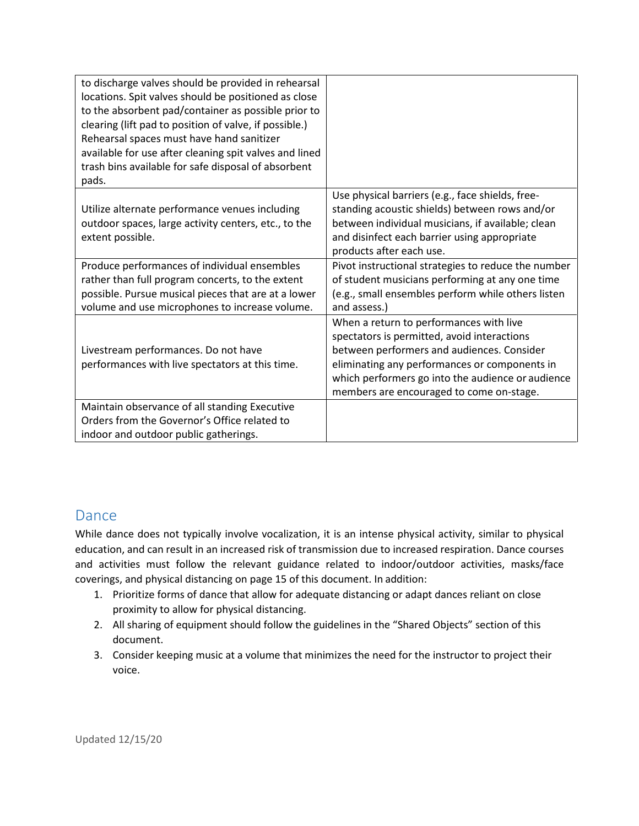| to discharge valves should be provided in rehearsal<br>locations. Spit valves should be positioned as close<br>to the absorbent pad/container as possible prior to<br>clearing (lift pad to position of valve, if possible.)<br>Rehearsal spaces must have hand sanitizer<br>available for use after cleaning spit valves and lined<br>trash bins available for safe disposal of absorbent<br>pads. |                                                                                                                                                                                                                                                                                                                                                                                                                     |
|-----------------------------------------------------------------------------------------------------------------------------------------------------------------------------------------------------------------------------------------------------------------------------------------------------------------------------------------------------------------------------------------------------|---------------------------------------------------------------------------------------------------------------------------------------------------------------------------------------------------------------------------------------------------------------------------------------------------------------------------------------------------------------------------------------------------------------------|
| Utilize alternate performance venues including<br>outdoor spaces, large activity centers, etc., to the<br>extent possible.<br>Produce performances of individual ensembles<br>rather than full program concerts, to the extent<br>possible. Pursue musical pieces that are at a lower<br>volume and use microphones to increase volume.                                                             | Use physical barriers (e.g., face shields, free-<br>standing acoustic shields) between rows and/or<br>between individual musicians, if available; clean<br>and disinfect each barrier using appropriate<br>products after each use.<br>Pivot instructional strategies to reduce the number<br>of student musicians performing at any one time<br>(e.g., small ensembles perform while others listen<br>and assess.) |
| Livestream performances. Do not have<br>performances with live spectators at this time.                                                                                                                                                                                                                                                                                                             | When a return to performances with live<br>spectators is permitted, avoid interactions<br>between performers and audiences. Consider<br>eliminating any performances or components in<br>which performers go into the audience or audience<br>members are encouraged to come on-stage.                                                                                                                              |
| Maintain observance of all standing Executive<br>Orders from the Governor's Office related to<br>indoor and outdoor public gatherings.                                                                                                                                                                                                                                                              |                                                                                                                                                                                                                                                                                                                                                                                                                     |

#### Dance

While dance does not typically involve vocalization, it is an intense physical activity, similar to physical education, and can result in an increased risk of transmission due to increased respiration. Dance courses and activities must follow the relevant guidance related to indoor/outdoor activities, masks/face coverings, and physical distancing on page 15 of this document. In addition:

- 1. Prioritize forms of dance that allow for adequate distancing or adapt dances reliant on close proximity to allow for physical distancing.
- 2. All sharing of equipment should follow the guidelines in the "Shared Objects" section of this document.
- 3. Consider keeping music at a volume that minimizes the need for the instructor to project their voice.